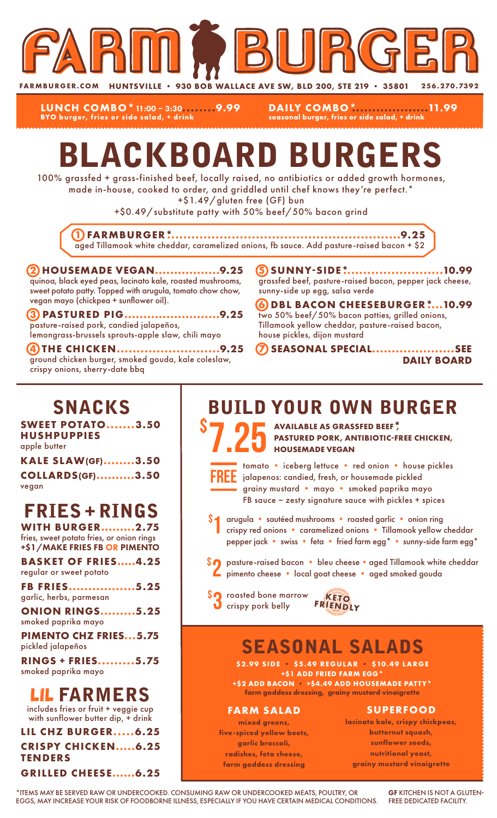

**LUNCH COMBO\***11:00 – 3:30**........9.99 BYO burger, fries or side salad, + drink**

**DAILY COMBO\*...................11.99 seasonal burger, fries or side salad, + drink**

# BLACKBOARD BURGERS

100% grassfed + grass-finished beef, locally raised, no antibiotics or added growth hormones, made in-house, cooked to order, and griddled until chef knows they're perfect.\*

+\$1.49/gluten free (GF) bun

+\$0.49/substitute patty with 50% beef/50% bacon grind

**1 FARMBURGER\*..........................................................9.25** aged Tillamook white cheddar, caramelized onions, fb sauce. Add pasture-raised bacon + \$2

#### **2 HOUSEMADE VEGAN.................9.25** quinoa, black eyed peas, lacinato kale, roasted mushrooms, sweet potato patty. Topped with arugula, tomato chow chow, vegan mayo (chickpea + sunflower oil).

**3 PASTURED PIG.........................9.25** pasture-raised pork, candied jalapeños, lemongrass-brussels sprouts-apple slaw, chili mayo

**4 THE CHICKEN..........................9.25** ground chicken burger, smoked gouda, kale coleslaw, crispy onions, sherry-date bbq

**5 SUNNY-SIDE\*.........................10.99** grassfed beef, pasture-raised bacon, pepper jack cheese, sunny-side up egg, salsa verde

**6 DBL BACON CHEESEBURGER\*....10.99** two 50% beef/50% bacon patties, grilled onions, Tillamook yellow cheddar, pasture-raised bacon, house pickles, dijon mustard

**7 SEASONAL SPECIAL.....................SEE DAILY BOARD**

### SNACKS

**SWEET POTATO.......3.50 HUSHPUPPIES** apple butter

| <b>KALE SLAW(GF)3.50</b> |  |
|--------------------------|--|
| <b>COLLARDS(GF)3.50</b>  |  |
| vegan                    |  |

### FRIES + RINGS

**WITH BURGER.........2.75** fries, sweet potato fries, or onion rings +\$1/MAKE FRIES FB OR PIMENTO

**BASKET OF FRIES.....4.25** regular or sweet potato

**FB FRIES.................5.25** garlic, herbs, parmesan

**ONION RINGS.........5.25** smoked paprika mayo

**PIMENTO CHZ FRIES...5.75** pickled jalapeños

**RINGS + FRIES.........5.75** smoked paprika mayo

#### LIL FARMERS

includes fries or fruit + veggie cup with sunflower butter dip, + drink

**LIL CHZ BURGER.....6.25 CRISPY CHICKEN.....6.25 TENDERS GRILLED CHEESE......6.25**

### BUILD YOUR OWN BURGER

S 7.25 AVAILABLE AS GRASSFED BEEF<sup>\*</sup>, PASTURED PORK, ANTIBIOTIC-FI **PASTURED PORK, ANTIBIOTIC-FREE CHICKEN, HOUSEMADE VEGAN**



\$

tomato • iceberg lettuce • red onion • house pickles jalapenos: candied, fresh, or housemade pickled grainy mustard • mayo • smoked paprika mayo FB sauce ~ zesty signature sauce with pickles + spices

- arugula sautéed mushrooms roasted garlic onion ring crispy red onions • caramelized onions • Tillamook yellow cheddar pepper jack • swiss • feta • fried farm egg\* • sunny-side farm egg\* 1
- \$2 pasture-raised bacon bleu cheese aged Tillamook white cheddar<br>Pimento cheese local goat cheese aged smoked gouda pimento cheese • local goat cheese • aged smoked gouda
- **SO** roasted bone marrow **KETO**<br> **O** crispy pork belly FRIENDLY



### SEASONAL SALADS

**\$2.99 SIDE • \$5.49 REGULAR • \$10.49 LARGE +\$1 ADD FRIED FARM EGG\* +\$2 ADD BACON • +\$4.49 ADD HOUSEMADE PATTY\***

**farm goddess dressing, grainy mustard vinaigrette**

#### **FARM SALAD**

**mixed greens, five-spiced yellow beets, garlic broccoli, radishes, feta cheese, farm goddess dressing**

#### **SUPERFOOD**

**lacinato kale, crispy chickpeas, butternut squash, sunflower seeds, nutritional yeast, grainy mustard vinaigrette**

\*ITEMS MAY BE SERVED RAW OR UNDERCOOKED. CONSUMING RAW OR UNDERCOOKED MEATS, POULTRY, OR EGGS, MAY INCREASE YOUR RISK OF FOODBORNE ILLNESS, ESPECIALLY IF YOU HAVE CERTAIN MEDICAL CONDITIONS.

GF KITCHEN IS NOT A GLUTEN-FREE DEDICATED FACILITY.